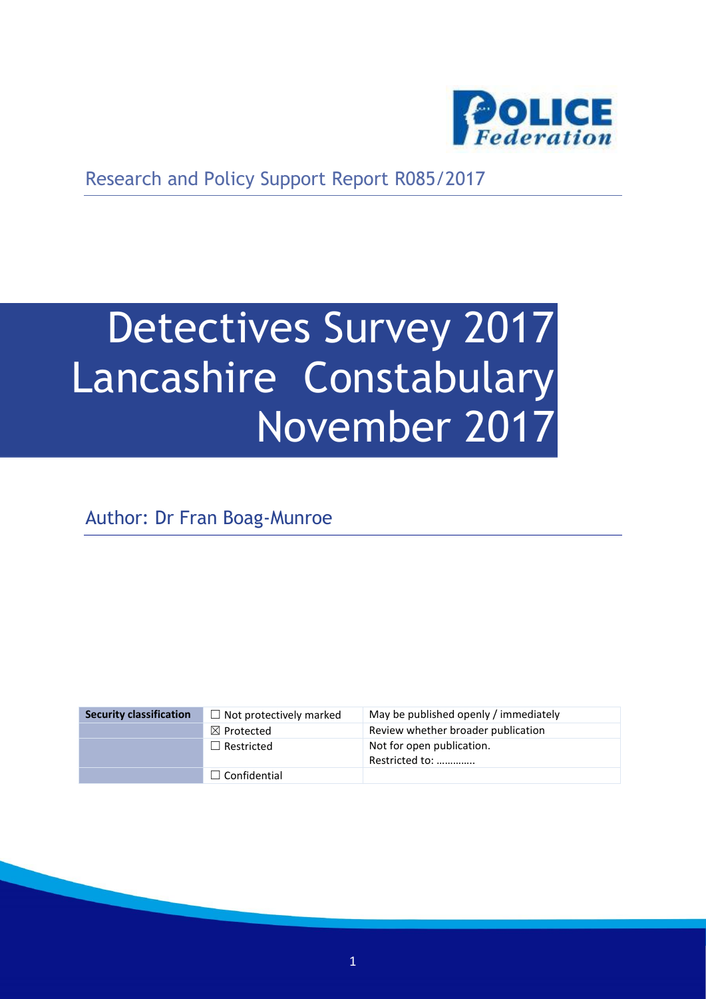

Research and Policy Support Report R085/2017

# Detectives Survey 2017 Lancashire Constabulary November 2017

Author: Dr Fran Boag-Munroe

| <b>Security classification</b> | $\Box$ Not protectively marked | May be published openly / immediately       |
|--------------------------------|--------------------------------|---------------------------------------------|
|                                | $\boxtimes$ Protected          | Review whether broader publication          |
|                                | $\Box$ Restricted              | Not for open publication.<br>Restricted to: |
|                                | $\Box$ Confidential            |                                             |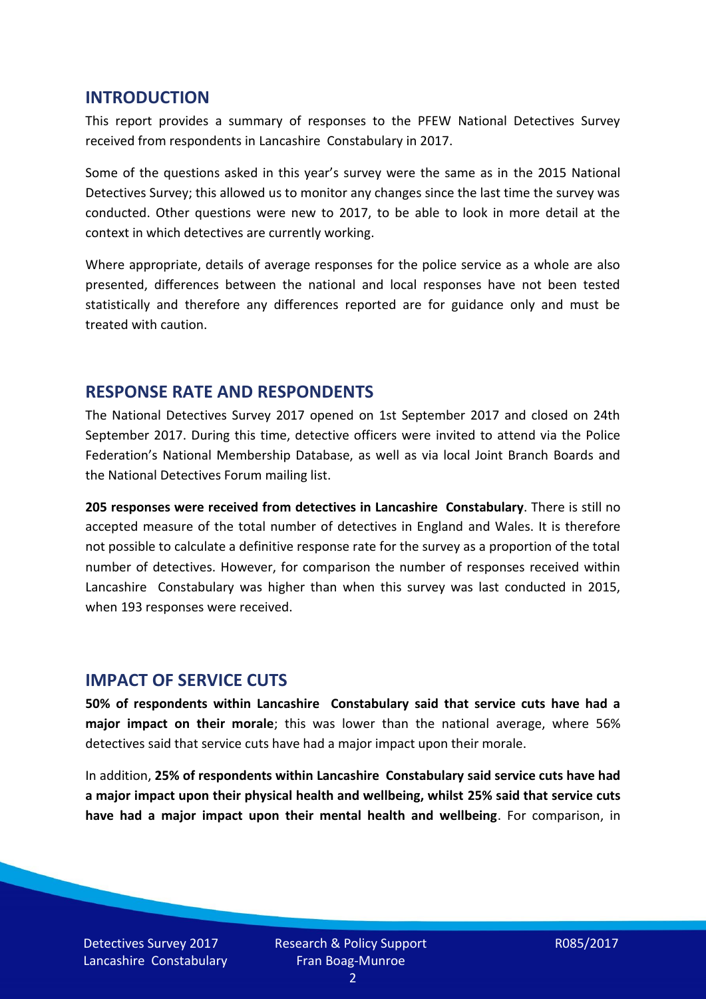#### **INTRODUCTION**

This report provides a summary of responses to the PFEW National Detectives Survey received from respondents in Lancashire Constabulary in 2017.

Some of the questions asked in this year's survey were the same as in the 2015 National Detectives Survey; this allowed us to monitor any changes since the last time the survey was conducted. Other questions were new to 2017, to be able to look in more detail at the context in which detectives are currently working.

Where appropriate, details of average responses for the police service as a whole are also presented, differences between the national and local responses have not been tested statistically and therefore any differences reported are for guidance only and must be treated with caution.

#### **RESPONSE RATE AND RESPONDENTS**

The National Detectives Survey 2017 opened on 1st September 2017 and closed on 24th September 2017. During this time, detective officers were invited to attend via the Police Federation's National Membership Database, as well as via local Joint Branch Boards and the National Detectives Forum mailing list.

**205 responses were received from detectives in Lancashire Constabulary**. There is still no accepted measure of the total number of detectives in England and Wales. It is therefore not possible to calculate a definitive response rate for the survey as a proportion of the total number of detectives. However, for comparison the number of responses received within Lancashire Constabulary was higher than when this survey was last conducted in 2015, when 193 responses were received.

#### **IMPACT OF SERVICE CUTS**

**50% of respondents within Lancashire Constabulary said that service cuts have had a major impact on their morale**; this was lower than the national average, where 56% detectives said that service cuts have had a major impact upon their morale.

In addition, **25% of respondents within Lancashire Constabulary said service cuts have had a major impact upon their physical health and wellbeing, whilst 25% said that service cuts have had a major impact upon their mental health and wellbeing**. For comparison, in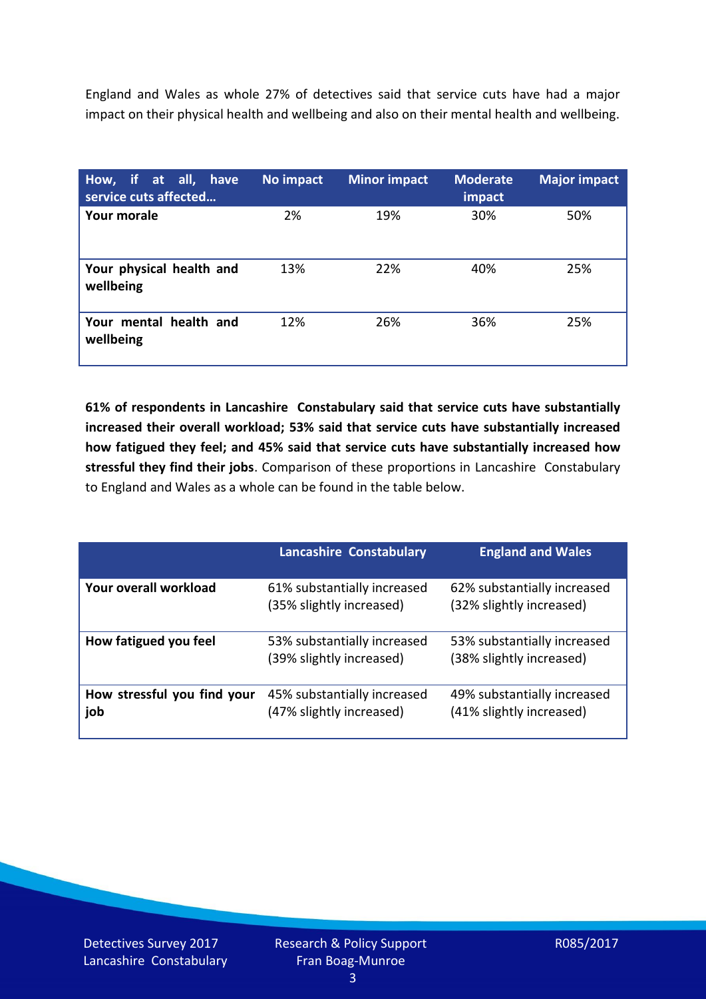England and Wales as whole 27% of detectives said that service cuts have had a major impact on their physical health and wellbeing and also on their mental health and wellbeing.

| How, if at all, have<br>service cuts affected | No impact | <b>Minor impact</b> | <b>Moderate</b><br>impact | <b>Major impact</b> |
|-----------------------------------------------|-----------|---------------------|---------------------------|---------------------|
| Your morale                                   | 2%        | 19%                 | 30%                       | 50%                 |
| Your physical health and<br>wellbeing         | 13%       | 22%                 | 40%                       | 25%                 |
| Your mental health and<br>wellbeing           | 12%       | 26%                 | 36%                       | 25%                 |

**61% of respondents in Lancashire Constabulary said that service cuts have substantially increased their overall workload; 53% said that service cuts have substantially increased how fatigued they feel; and 45% said that service cuts have substantially increased how stressful they find their jobs**. Comparison of these proportions in Lancashire Constabulary to England and Wales as a whole can be found in the table below.

|                                    | <b>Lancashire Constabulary</b>                          | <b>England and Wales</b>                                |
|------------------------------------|---------------------------------------------------------|---------------------------------------------------------|
| Your overall workload              | 61% substantially increased<br>(35% slightly increased) | 62% substantially increased<br>(32% slightly increased) |
| How fatigued you feel              | 53% substantially increased<br>(39% slightly increased) | 53% substantially increased<br>(38% slightly increased) |
| How stressful you find your<br>job | 45% substantially increased<br>(47% slightly increased) | 49% substantially increased<br>(41% slightly increased) |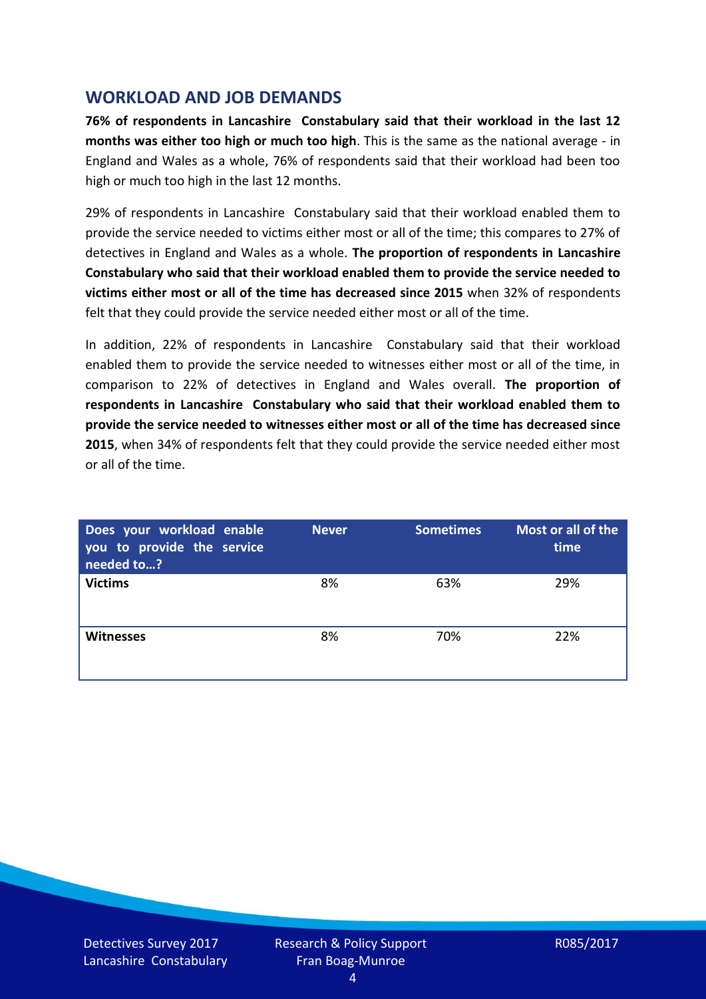### **WORKLOAD AND JOB DEMANDS**

**76% of respondents in Lancashire Constabulary said that their workload in the last 12 months was either too high or much too high**. This is the same as the national average - in England and Wales as a whole, 76% of respondents said that their workload had been too high or much too high in the last 12 months.

29% of respondents in Lancashire Constabulary said that their workload enabled them to provide the service needed to victims either most or all of the time; this compares to 27% of detectives in England and Wales as a whole. **The proportion of respondents in Lancashire Constabulary who said that their workload enabled them to provide the service needed to victims either most or all of the time has decreased since 2015** when 32% of respondents felt that they could provide the service needed either most or all of the time.

In addition, 22% of respondents in Lancashire Constabulary said that their workload enabled them to provide the service needed to witnesses either most or all of the time, in comparison to 22% of detectives in England and Wales overall. **The proportion of respondents in Lancashire Constabulary who said that their workload enabled them to provide the service needed to witnesses either most or all of the time has decreased since 2015**, when 34% of respondents felt that they could provide the service needed either most or all of the time.

| Does your workload enable<br>you to provide the service<br>needed to? | <b>Never</b> | <b>Sometimes</b> | Most or all of the<br>time |
|-----------------------------------------------------------------------|--------------|------------------|----------------------------|
| <b>Victims</b>                                                        | 8%           | 63%              | 29%                        |
| <b>Witnesses</b>                                                      | 8%           | 70%              | 22%                        |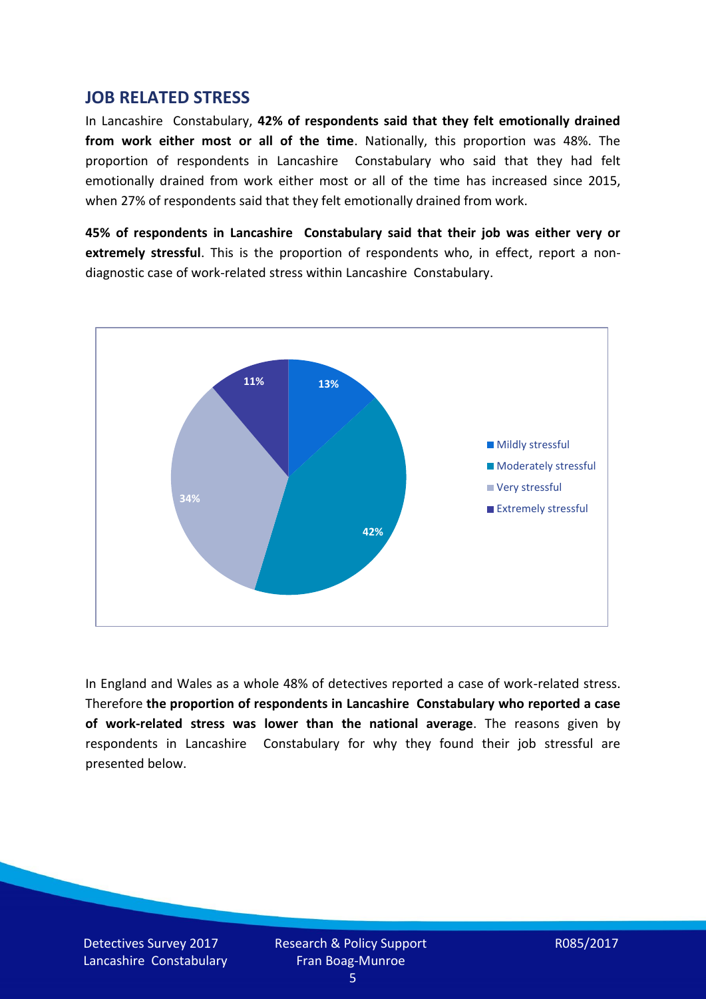#### **JOB RELATED STRESS**

In Lancashire Constabulary, **42% of respondents said that they felt emotionally drained from work either most or all of the time**. Nationally, this proportion was 48%. The proportion of respondents in Lancashire Constabulary who said that they had felt emotionally drained from work either most or all of the time has increased since 2015, when 27% of respondents said that they felt emotionally drained from work.

**45% of respondents in Lancashire Constabulary said that their job was either very or extremely stressful**. This is the proportion of respondents who, in effect, report a nondiagnostic case of work-related stress within Lancashire Constabulary.



In England and Wales as a whole 48% of detectives reported a case of work-related stress. Therefore **the proportion of respondents in Lancashire Constabulary who reported a case of work-related stress was lower than the national average**. The reasons given by respondents in Lancashire Constabulary for why they found their job stressful are presented below.

Detectives Survey 2017 Lancashire Constabulary Research & Policy Support Fran Boag-Munroe

R085/2017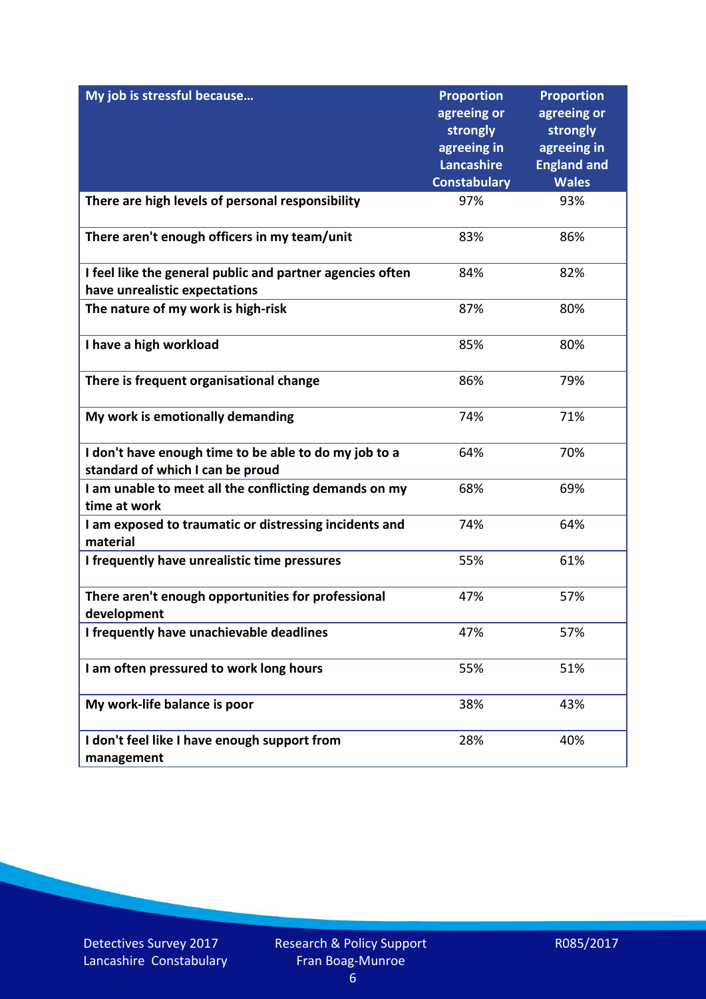| My job is stressful because                                                                | <b>Proportion</b>       | <b>Proportion</b>       |
|--------------------------------------------------------------------------------------------|-------------------------|-------------------------|
|                                                                                            | agreeing or<br>strongly | agreeing or<br>strongly |
|                                                                                            | agreeing in             | agreeing in             |
|                                                                                            | Lancashire              | <b>England and</b>      |
|                                                                                            | <b>Constabulary</b>     | <b>Wales</b>            |
| There are high levels of personal responsibility                                           | 97%                     | 93%                     |
| There aren't enough officers in my team/unit                                               | 83%                     | 86%                     |
| I feel like the general public and partner agencies often<br>have unrealistic expectations | 84%                     | 82%                     |
| The nature of my work is high-risk                                                         | 87%                     | 80%                     |
| I have a high workload                                                                     | 85%                     | 80%                     |
| There is frequent organisational change                                                    | 86%                     | 79%                     |
| My work is emotionally demanding                                                           | 74%                     | 71%                     |
| I don't have enough time to be able to do my job to a<br>standard of which I can be proud  | 64%                     | 70%                     |
| I am unable to meet all the conflicting demands on my<br>time at work                      | 68%                     | 69%                     |
| I am exposed to traumatic or distressing incidents and<br>material                         | 74%                     | 64%                     |
| I frequently have unrealistic time pressures                                               | 55%                     | 61%                     |
| There aren't enough opportunities for professional<br>development                          | 47%                     | 57%                     |
| I frequently have unachievable deadlines                                                   | 47%                     | 57%                     |
| I am often pressured to work long hours                                                    | 55%                     | 51%                     |
| My work-life balance is poor                                                               | 38%                     | 43%                     |
| I don't feel like I have enough support from<br>management                                 | 28%                     | 40%                     |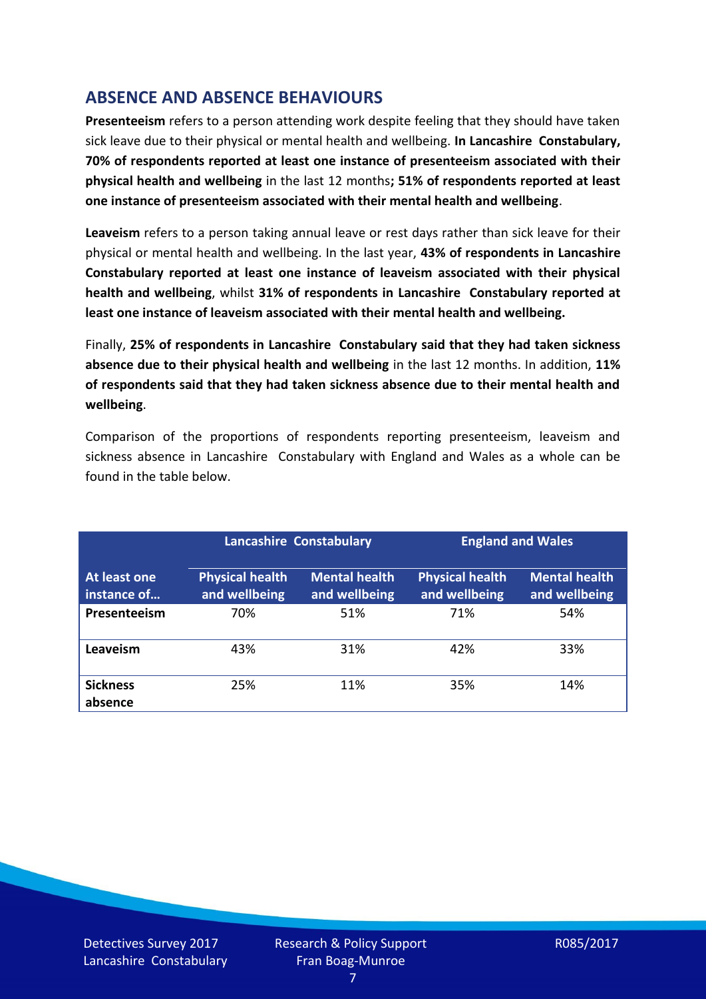# **ABSENCE AND ABSENCE BEHAVIOURS**

**Presenteeism** refers to a person attending work despite feeling that they should have taken sick leave due to their physical or mental health and wellbeing. **In Lancashire Constabulary, 70% of respondents reported at least one instance of presenteeism associated with their physical health and wellbeing** in the last 12 months**; 51% of respondents reported at least one instance of presenteeism associated with their mental health and wellbeing**.

**Leaveism** refers to a person taking annual leave or rest days rather than sick leave for their physical or mental health and wellbeing. In the last year, **43% of respondents in Lancashire Constabulary reported at least one instance of leaveism associated with their physical health and wellbeing**, whilst **31% of respondents in Lancashire Constabulary reported at least one instance of leaveism associated with their mental health and wellbeing.**

Finally, **25% of respondents in Lancashire Constabulary said that they had taken sickness absence due to their physical health and wellbeing** in the last 12 months. In addition, **11% of respondents said that they had taken sickness absence due to their mental health and wellbeing**.

Comparison of the proportions of respondents reporting presenteeism, leaveism and sickness absence in Lancashire Constabulary with England and Wales as a whole can be found in the table below.

|                             | <b>Lancashire Constabulary</b>          |                                       | <b>England and Wales</b>                |                                       |
|-----------------------------|-----------------------------------------|---------------------------------------|-----------------------------------------|---------------------------------------|
| At least one<br>instance of | <b>Physical health</b><br>and wellbeing | <b>Mental health</b><br>and wellbeing | <b>Physical health</b><br>and wellbeing | <b>Mental health</b><br>and wellbeing |
| Presenteeism                | 70%                                     | 51%                                   | 71%                                     | 54%                                   |
| Leaveism                    | 43%                                     | 31%                                   | 42%                                     | 33%                                   |
| <b>Sickness</b><br>absence  | 25%                                     | 11%                                   | 35%                                     | 14%                                   |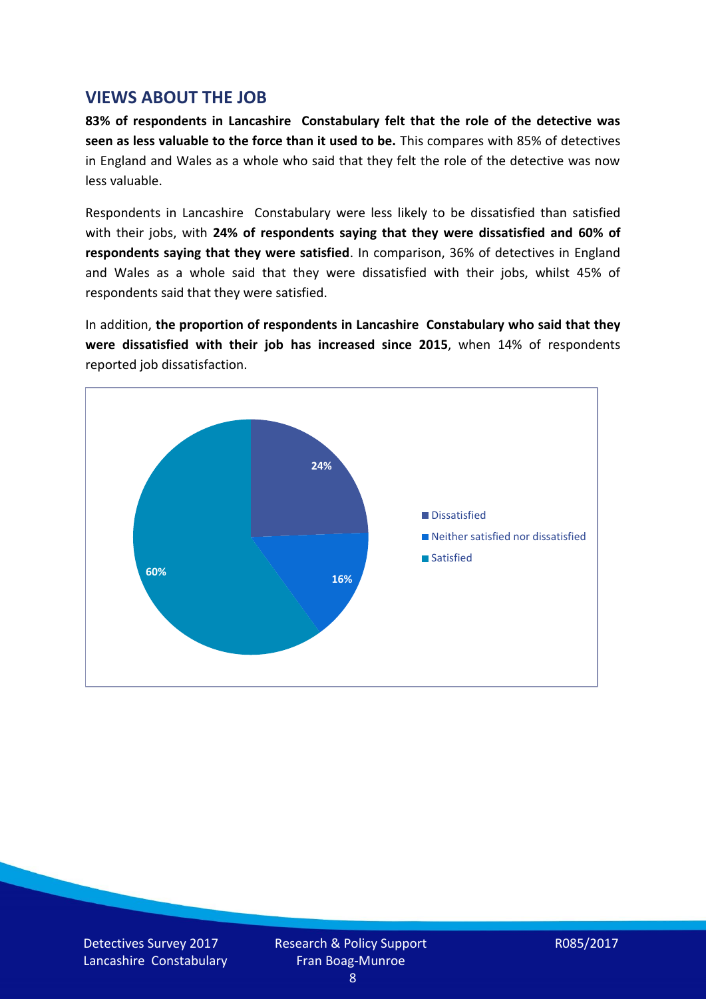#### **VIEWS ABOUT THE JOB**

**83% of respondents in Lancashire Constabulary felt that the role of the detective was seen as less valuable to the force than it used to be.** This compares with 85% of detectives in England and Wales as a whole who said that they felt the role of the detective was now less valuable.

Respondents in Lancashire Constabulary were less likely to be dissatisfied than satisfied with their jobs, with **24% of respondents saying that they were dissatisfied and 60% of respondents saying that they were satisfied**. In comparison, 36% of detectives in England and Wales as a whole said that they were dissatisfied with their jobs, whilst 45% of respondents said that they were satisfied.

In addition, **the proportion of respondents in Lancashire Constabulary who said that they were dissatisfied with their job has increased since 2015**, when 14% of respondents reported job dissatisfaction.

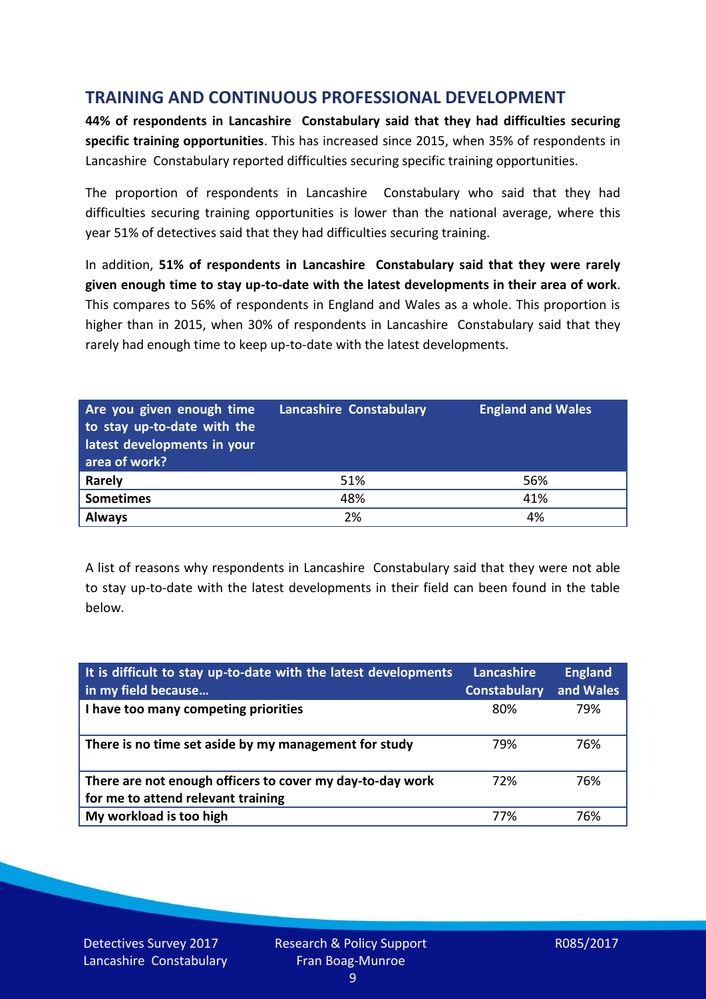## **TRAINING AND CONTINUOUS PROFESSIONAL DEVELOPMENT**

**44% of respondents in Lancashire Constabulary said that they had difficulties securing specific training opportunities**. This has increased since 2015, when 35% of respondents in Lancashire Constabulary reported difficulties securing specific training opportunities.

The proportion of respondents in Lancashire Constabulary who said that they had difficulties securing training opportunities is lower than the national average, where this year 51% of detectives said that they had difficulties securing training.

In addition, **51% of respondents in Lancashire Constabulary said that they were rarely given enough time to stay up-to-date with the latest developments in their area of work**. This compares to 56% of respondents in England and Wales as a whole. This proportion is higher than in 2015, when 30% of respondents in Lancashire Constabulary said that they rarely had enough time to keep up-to-date with the latest developments.

| Are you given enough time<br>to stay up-to-date with the<br>latest developments in your<br>area of work? | <b>Lancashire Constabulary</b> | <b>England and Wales</b> |
|----------------------------------------------------------------------------------------------------------|--------------------------------|--------------------------|
| <b>Rarely</b>                                                                                            | 51%                            | 56%                      |
| <b>Sometimes</b>                                                                                         | 48%                            | 41%                      |
| <b>Always</b>                                                                                            | 2%                             | 4%                       |

A list of reasons why respondents in Lancashire Constabulary said that they were not able to stay up-to-date with the latest developments in their field can been found in the table below.

| It is difficult to stay up-to-date with the latest developments<br>in my field because          | Lancashire<br><b>Constabulary</b> | <b>England</b><br>and Wales |
|-------------------------------------------------------------------------------------------------|-----------------------------------|-----------------------------|
| I have too many competing priorities                                                            | 80%                               | 79%                         |
| There is no time set aside by my management for study                                           | 79%                               | 76%                         |
| There are not enough officers to cover my day-to-day work<br>for me to attend relevant training | 72%                               | 76%                         |
| My workload is too high                                                                         | 77%                               | 76%                         |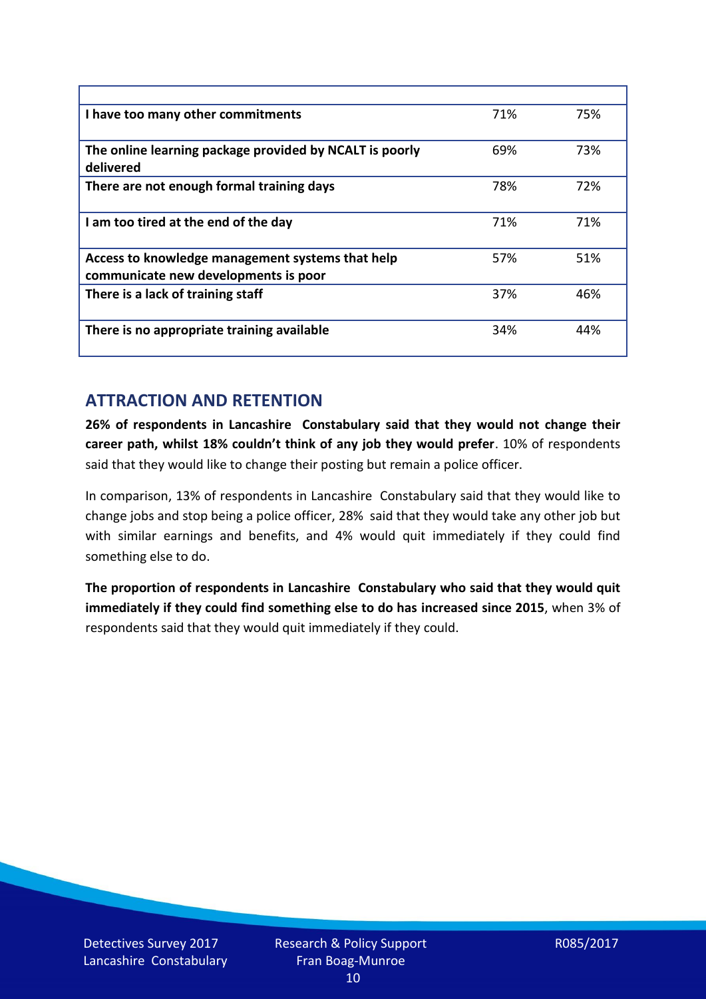| I have too many other commitments                                                        | 71% | 75% |
|------------------------------------------------------------------------------------------|-----|-----|
| The online learning package provided by NCALT is poorly<br>delivered                     | 69% | 73% |
| There are not enough formal training days                                                | 78% | 72% |
| I am too tired at the end of the day                                                     | 71% | 71% |
| Access to knowledge management systems that help<br>communicate new developments is poor | 57% | 51% |
| There is a lack of training staff                                                        | 37% | 46% |
| There is no appropriate training available                                               | 34% | 44% |

## **ATTRACTION AND RETENTION**

**26% of respondents in Lancashire Constabulary said that they would not change their career path, whilst 18% couldn't think of any job they would prefer**. 10% of respondents said that they would like to change their posting but remain a police officer.

In comparison, 13% of respondents in Lancashire Constabulary said that they would like to change jobs and stop being a police officer, 28% said that they would take any other job but with similar earnings and benefits, and 4% would quit immediately if they could find something else to do.

**The proportion of respondents in Lancashire Constabulary who said that they would quit immediately if they could find something else to do has increased since 2015**, when 3% of respondents said that they would quit immediately if they could.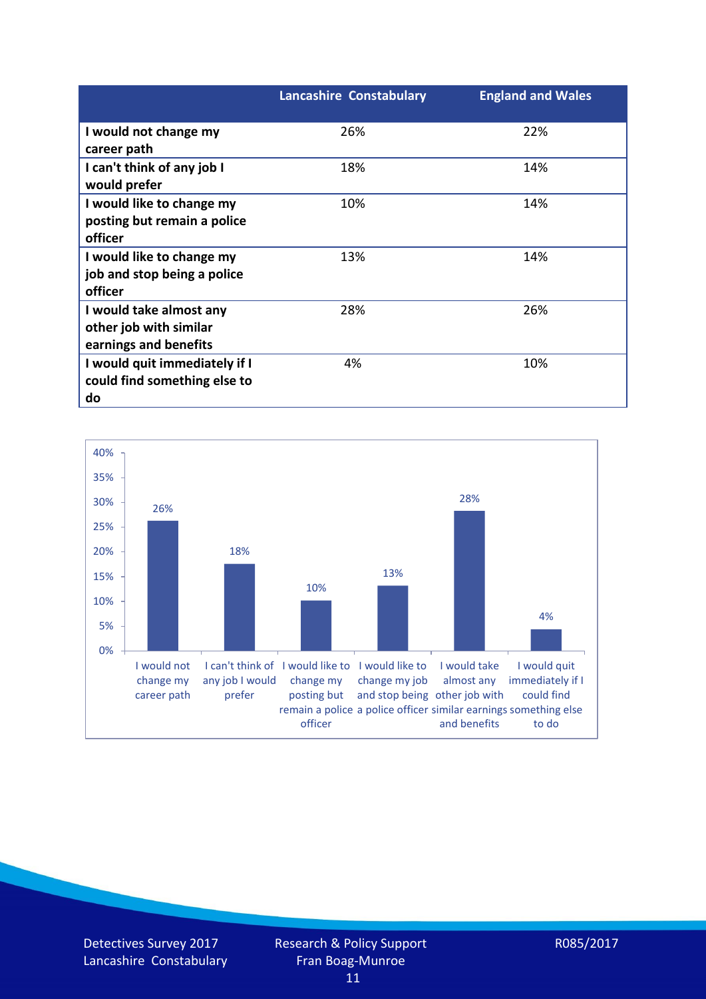|                               | <b>Lancashire Constabulary</b> | <b>England and Wales</b> |
|-------------------------------|--------------------------------|--------------------------|
| I would not change my         | 26%                            | 22%                      |
| career path                   |                                |                          |
| I can't think of any job I    | 18%                            | 14%                      |
| would prefer                  |                                |                          |
| I would like to change my     | 10%                            | 14%                      |
| posting but remain a police   |                                |                          |
| officer                       |                                |                          |
| I would like to change my     | 13%                            | 14%                      |
| job and stop being a police   |                                |                          |
| officer                       |                                |                          |
| I would take almost any       | 28%                            | 26%                      |
| other job with similar        |                                |                          |
| earnings and benefits         |                                |                          |
| I would quit immediately if I | 4%                             | 10%                      |
| could find something else to  |                                |                          |
| do                            |                                |                          |